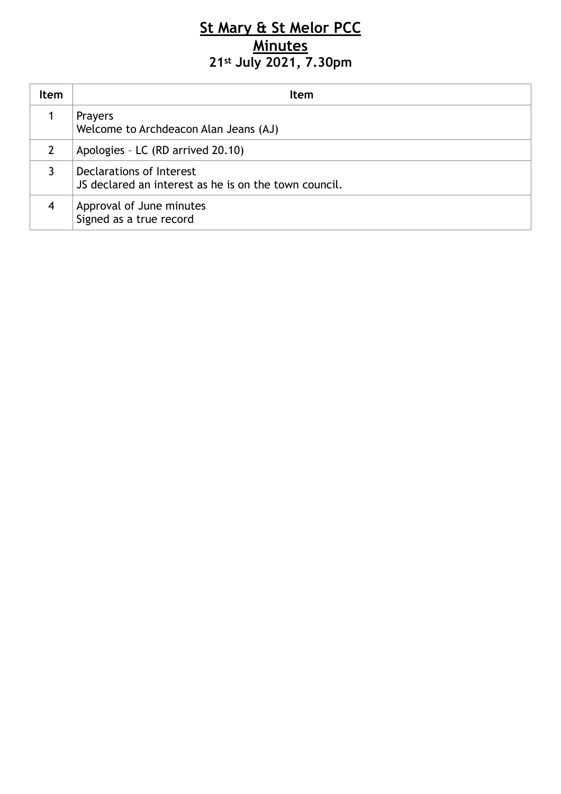## **St Mary & St Melor PCC Minutes 21st July 2021, 7.30pm**

| Item           | <b>Item</b>                                                                       |
|----------------|-----------------------------------------------------------------------------------|
|                | <b>Prayers</b><br>Welcome to Archdeacon Alan Jeans (AJ)                           |
| $\mathcal{L}$  | Apologies - LC (RD arrived 20.10)                                                 |
|                | Declarations of Interest<br>JS declared an interest as he is on the town council. |
| $\overline{4}$ | Approval of June minutes<br>Signed as a true record                               |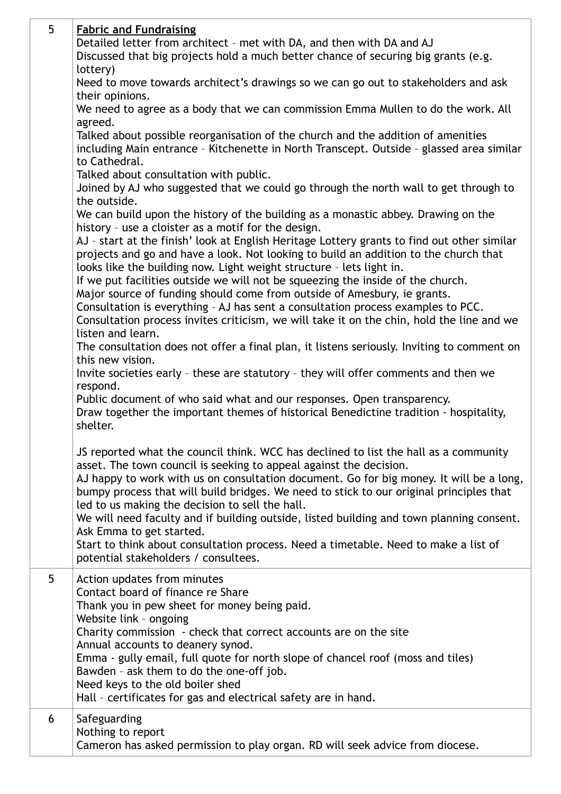| 5 | <b>Fabric and Fundraising</b><br>Detailed letter from architect - met with DA, and then with DA and AJ<br>Discussed that big projects hold a much better chance of securing big grants (e.g.<br>lottery)<br>Need to move towards architect's drawings so we can go out to stakeholders and ask<br>their opinions.<br>We need to agree as a body that we can commission Emma Mullen to do the work. All<br>agreed.<br>Talked about possible reorganisation of the church and the addition of amenities<br>including Main entrance - Kitchenette in North Transcept. Outside - glassed area similar<br>to Cathedral.<br>Talked about consultation with public.<br>Joined by AJ who suggested that we could go through the north wall to get through to<br>the outside.<br>We can build upon the history of the building as a monastic abbey. Drawing on the<br>history - use a cloister as a motif for the design.<br>AJ - start at the finish' look at English Heritage Lottery grants to find out other similar<br>projects and go and have a look. Not looking to build an addition to the church that<br>looks like the building now. Light weight structure - lets light in.<br>If we put facilities outside we will not be squeezing the inside of the church.<br>Major source of funding should come from outside of Amesbury, ie grants.<br>Consultation is everything - AJ has sent a consultation process examples to PCC.<br>Consultation process invites criticism, we will take it on the chin, hold the line and we<br>listen and learn.<br>The consultation does not offer a final plan, it listens seriously. Inviting to comment on<br>this new vision.<br>Invite societies early - these are statutory - they will offer comments and then we<br>respond.<br>Public document of who said what and our responses. Open transparency.<br>Draw together the important themes of historical Benedictine tradition - hospitality,<br>shelter.<br>JS reported what the council think. WCC has declined to list the hall as a community<br>asset. The town council is seeking to appeal against the decision.<br>AJ happy to work with us on consultation document. Go for big money. It will be a long,<br>bumpy process that will build bridges. We need to stick to our original principles that<br>led to us making the decision to sell the hall.<br>We will need faculty and if building outside, listed building and town planning consent.<br>Ask Emma to get started. |
|---|-----------------------------------------------------------------------------------------------------------------------------------------------------------------------------------------------------------------------------------------------------------------------------------------------------------------------------------------------------------------------------------------------------------------------------------------------------------------------------------------------------------------------------------------------------------------------------------------------------------------------------------------------------------------------------------------------------------------------------------------------------------------------------------------------------------------------------------------------------------------------------------------------------------------------------------------------------------------------------------------------------------------------------------------------------------------------------------------------------------------------------------------------------------------------------------------------------------------------------------------------------------------------------------------------------------------------------------------------------------------------------------------------------------------------------------------------------------------------------------------------------------------------------------------------------------------------------------------------------------------------------------------------------------------------------------------------------------------------------------------------------------------------------------------------------------------------------------------------------------------------------------------------------------------------------------------------------------------------------------------------------------------------------------------------------------------------------------------------------------------------------------------------------------------------------------------------------------------------------------------------------------------------------------------------------------------------------------------------------------------------------------------------------------------------------------------------------------------------------------------|
|   | Start to think about consultation process. Need a timetable. Need to make a list of<br>potential stakeholders / consultees.                                                                                                                                                                                                                                                                                                                                                                                                                                                                                                                                                                                                                                                                                                                                                                                                                                                                                                                                                                                                                                                                                                                                                                                                                                                                                                                                                                                                                                                                                                                                                                                                                                                                                                                                                                                                                                                                                                                                                                                                                                                                                                                                                                                                                                                                                                                                                             |
| 5 | Action updates from minutes<br>Contact board of finance re Share<br>Thank you in pew sheet for money being paid.<br>Website link - ongoing<br>Charity commission - check that correct accounts are on the site<br>Annual accounts to deanery synod.<br>Emma - gully email, full quote for north slope of chancel roof (moss and tiles)<br>Bawden - ask them to do the one-off job.<br>Need keys to the old boiler shed<br>Hall - certificates for gas and electrical safety are in hand.                                                                                                                                                                                                                                                                                                                                                                                                                                                                                                                                                                                                                                                                                                                                                                                                                                                                                                                                                                                                                                                                                                                                                                                                                                                                                                                                                                                                                                                                                                                                                                                                                                                                                                                                                                                                                                                                                                                                                                                                |
| 6 | Safeguarding<br>Nothing to report<br>Cameron has asked permission to play organ. RD will seek advice from diocese.                                                                                                                                                                                                                                                                                                                                                                                                                                                                                                                                                                                                                                                                                                                                                                                                                                                                                                                                                                                                                                                                                                                                                                                                                                                                                                                                                                                                                                                                                                                                                                                                                                                                                                                                                                                                                                                                                                                                                                                                                                                                                                                                                                                                                                                                                                                                                                      |